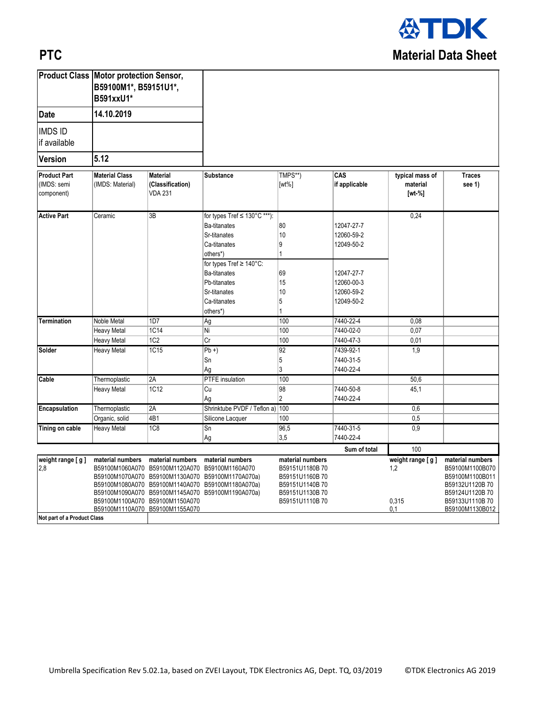

## **PTC**

|                                                  | <b>Product Class Motor protection Sensor,</b><br>B59100M1*, B59151U1*,<br>B591xxU1*<br>14.10.2019 |                                                                     |                                                                                                                                                                                                   |                                                                                                            |                                                                                                |                                               |                                                                                                                                 |
|--------------------------------------------------|---------------------------------------------------------------------------------------------------|---------------------------------------------------------------------|---------------------------------------------------------------------------------------------------------------------------------------------------------------------------------------------------|------------------------------------------------------------------------------------------------------------|------------------------------------------------------------------------------------------------|-----------------------------------------------|---------------------------------------------------------------------------------------------------------------------------------|
| <b>Date</b>                                      |                                                                                                   |                                                                     |                                                                                                                                                                                                   |                                                                                                            |                                                                                                |                                               |                                                                                                                                 |
| <b>IMDS ID</b><br>if available                   |                                                                                                   |                                                                     |                                                                                                                                                                                                   |                                                                                                            |                                                                                                |                                               |                                                                                                                                 |
| <b>Version</b>                                   | 5.12                                                                                              |                                                                     |                                                                                                                                                                                                   |                                                                                                            |                                                                                                |                                               |                                                                                                                                 |
| <b>Product Part</b><br>(IMDS: semi<br>component) | <b>Material Class</b><br>(IMDS: Material)                                                         | <b>Material</b><br>(Classification)<br><b>VDA 231</b>               | <b>Substance</b>                                                                                                                                                                                  | TMPS**)<br>$[wt\%]$                                                                                        | CAS<br>if applicable                                                                           | typical mass of<br>material<br>[wt-%]         | <b>Traces</b><br>see 1)                                                                                                         |
| <b>Active Part</b>                               | Ceramic                                                                                           | 3B                                                                  | for types Tref ≤ 130°C ***):<br><b>Ba-titanates</b><br>Sr-titanates<br>Ca-titanates<br>others*)<br>for types Tref ≥ 140°C:<br><b>Ba-titanates</b><br>Pb-titanates<br>Sr-titanates<br>Ca-titanates | 80<br>10<br>9<br>1<br>69<br>15<br>10<br>5                                                                  | 12047-27-7<br>12060-59-2<br>12049-50-2<br>12047-27-7<br>12060-00-3<br>12060-59-2<br>12049-50-2 | 0,24                                          |                                                                                                                                 |
| <b>Termination</b>                               | Noble Metal                                                                                       | 1D7                                                                 | others*)<br>Ag                                                                                                                                                                                    | 100                                                                                                        | 7440-22-4                                                                                      | 0,08                                          |                                                                                                                                 |
|                                                  | Heavy Metal                                                                                       | 1C14                                                                | Ni                                                                                                                                                                                                | 100                                                                                                        | 7440-02-0                                                                                      | 0,07                                          |                                                                                                                                 |
|                                                  | <b>Heavy Metal</b>                                                                                | 1C2                                                                 | $\overline{Cr}$                                                                                                                                                                                   | 100                                                                                                        | 7440-47-3                                                                                      | 0,01                                          |                                                                                                                                 |
| Solder                                           | Heavy Metal                                                                                       | <b>1C15</b>                                                         | $Pb +$<br>Sn<br>Ag                                                                                                                                                                                | 92<br>5<br>3                                                                                               | 7439-92-1<br>7440-31-5<br>7440-22-4                                                            | 1,9                                           |                                                                                                                                 |
| Cable                                            | Thermoplastic                                                                                     | 2A                                                                  | PTFE insulation                                                                                                                                                                                   | 100                                                                                                        |                                                                                                | 50,6                                          |                                                                                                                                 |
|                                                  | Heavy Metal                                                                                       | 1C12                                                                | Cu<br>Ag                                                                                                                                                                                          | 98<br>$\overline{2}$                                                                                       | 7440-50-8<br>7440-22-4                                                                         | 45,1                                          |                                                                                                                                 |
| Encapsulation                                    | Thermoplastic                                                                                     | 2A                                                                  | Shrinktube PVDF / Teflon a) 100                                                                                                                                                                   |                                                                                                            |                                                                                                | 0,6                                           |                                                                                                                                 |
|                                                  | Organic, solid                                                                                    | $\overline{4B1}$                                                    | Silicone Lacquer                                                                                                                                                                                  | 100                                                                                                        |                                                                                                | 0,5                                           |                                                                                                                                 |
| Tining on cable                                  | <b>Heavy Metal</b>                                                                                | 1C8                                                                 | Sn<br>Ag                                                                                                                                                                                          | 96,5<br>3,5                                                                                                | 7440-31-5<br>7440-22-4                                                                         | 0,9                                           |                                                                                                                                 |
|                                                  |                                                                                                   |                                                                     |                                                                                                                                                                                                   |                                                                                                            | Sum of total                                                                                   | 100                                           |                                                                                                                                 |
| weight range [ g ]<br>2,8                        | material numbers<br>B59100M1100A070 B59100M1150A070<br>B59100M1110A070 B59100M1155A070            | material numbers<br>B59100M1060A070 B59100M1120A070 B59100M1160A070 | material numbers<br>B59100M1070A070 B59100M1130A070 B59100M1170A070a)<br>B59100M1080A070 B59100M1140A070 B59100M1180A070a)<br>B59100M1090A070 B59100M1145A070 B59100M1190A070a)                   | material numbers<br>B59151U1180B70<br>B59151U1160B70<br>B59151U1140B70<br>B59151U1130B70<br>B59151U1110B70 |                                                                                                | weight range $[$ g $]$<br>1,2<br>0,315<br>0,1 | material numbers<br>B59100M1100B070<br>B59100M1100B011<br>B59132U1120B70<br>B59124U1120B70<br>B59133U1110B70<br>B59100M1130B012 |
| Not part of a Product Class                      |                                                                                                   |                                                                     |                                                                                                                                                                                                   |                                                                                                            |                                                                                                |                                               |                                                                                                                                 |